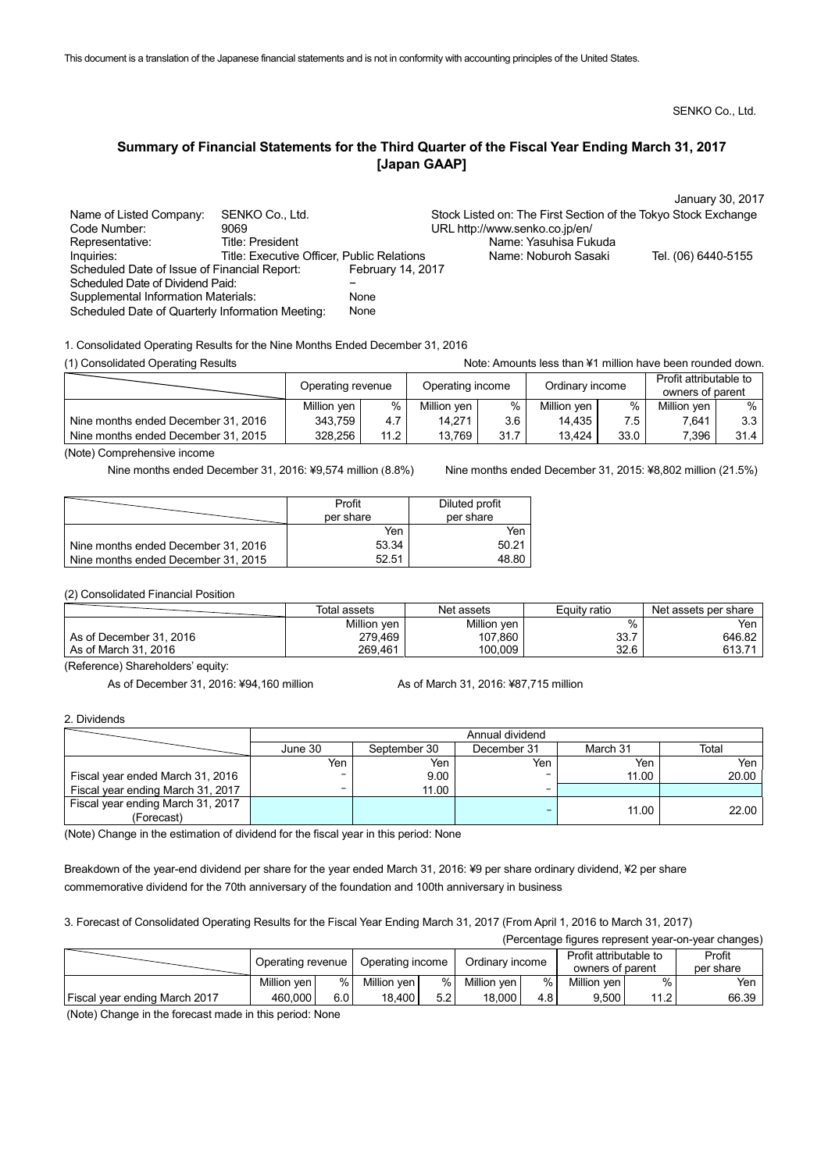SENKO Co., Ltd.

# **Summary of Financial Statements for the Third Quarter of the Fiscal Year Ending March 31, 2017 [Japan GAAP]**

|                                                  |                                            |                   |                                                                | January 30, 2017    |
|--------------------------------------------------|--------------------------------------------|-------------------|----------------------------------------------------------------|---------------------|
| Name of Listed Company:                          | SENKO Co., Ltd.                            |                   | Stock Listed on: The First Section of the Tokyo Stock Exchange |                     |
| Code Number:                                     | 9069                                       |                   | URL http://www.senko.co.jp/en/                                 |                     |
| Representative:                                  | <b>Title: President</b>                    |                   | Name: Yasuhisa Fukuda                                          |                     |
| Inquiries:                                       | Title: Executive Officer, Public Relations |                   | Name: Noburoh Sasaki                                           | Tel. (06) 6440-5155 |
| Scheduled Date of Issue of Financial Report:     |                                            | February 14, 2017 |                                                                |                     |
| Scheduled Date of Dividend Paid:                 |                                            |                   |                                                                |                     |
| <b>Supplemental Information Materials:</b>       |                                            | <b>None</b>       |                                                                |                     |
| Scheduled Date of Quarterly Information Meeting: |                                            | <b>None</b>       |                                                                |                     |

1. Consolidated Operating Results for the Nine Months Ended December 31, 2016

(1) Consolidated Operating Results **Note:** Amounts less than ¥1 million have been rounded down.

|                                     | Operating revenue |      | Operating income |      | Ordinary income |      | Profit attributable to<br>owners of parent |                  |
|-------------------------------------|-------------------|------|------------------|------|-----------------|------|--------------------------------------------|------------------|
|                                     | Million yen       | %    | Million yen      | %    | Million yen     | %    | Million yen                                | %                |
| Nine months ended December 31, 2016 | 343,759           | 4.7  | 14,271           | 3.6  | 14,435          | 7.5  | 7.641                                      | 3.3 <sub>1</sub> |
| Nine months ended December 31, 2015 | 328,256           | 11.2 | 13,769           | 31.7 | 13.424          | 33.0 | 7.396                                      | 31.4             |

(Note) Comprehensive income

Nine months ended December 31, 2016: ¥9,574 million (8.8%) Nine months ended December 31, 2015: ¥8,802 million (21.5%)

|                                     | Profit    | Diluted profit |
|-------------------------------------|-----------|----------------|
|                                     | per share | per share      |
|                                     | Yen       | Yen            |
| Nine months ended December 31, 2016 | 53.34     | 50.21          |
| Nine months ended December 31, 2015 | 52.51     | 48.80          |

(2) Consolidated Financial Position

|                         | Total assets | Net assets  | Equity ratio | Net assets per share |
|-------------------------|--------------|-------------|--------------|----------------------|
|                         | Million yen  | Million yen | %            | Yen                  |
| As of December 31, 2016 | 279,469      | 107,860     | 33.7         | 646.82               |
| As of March 31, 2016    | 269,461      | 100,009     | 32.6         | 613.71               |

(Reference) Shareholders' equity:

As of December 31, 2016: ¥94,160 million As of March 31, 2016: ¥87,715 million

2. Dividends

|                                   |         | Annual dividend |             |          |       |  |  |  |
|-----------------------------------|---------|-----------------|-------------|----------|-------|--|--|--|
|                                   | June 30 | September 30    | December 31 | March 31 | Total |  |  |  |
|                                   | Yen     | Yen             | Yen         | Yen      | Yen   |  |  |  |
| Fiscal year ended March 31, 2016  |         | 9.00            |             | 11.00    | 20.00 |  |  |  |
| Fiscal year ending March 31, 2017 | -       | 11.00           | -           |          |       |  |  |  |
| Fiscal year ending March 31, 2017 |         |                 |             | 11.00    | 22.00 |  |  |  |
| (Forecast)                        |         |                 |             |          |       |  |  |  |

(Note) Change in the estimation of dividend for the fiscal year in this period: None

Breakdown of the year-end dividend per share for the year ended March 31, 2016: ¥9 per share ordinary dividend, ¥2 per share commemorative dividend for the 70th anniversary of the foundation and 100th anniversary in business

3. Forecast of Consolidated Operating Results for the Fiscal Year Ending March 31, 2017 (From April 1, 2016 to March 31, 2017)

|                               |                   |       |                  |     |                 |     |                                            |      | (Percentage figures represent year-on-year changes) |
|-------------------------------|-------------------|-------|------------------|-----|-----------------|-----|--------------------------------------------|------|-----------------------------------------------------|
|                               | Operating revenue |       | Operating income |     | Ordinary income |     | Profit attributable to<br>owners of parent |      | Profit<br>per share                                 |
|                               | Million ven       | $%$ 1 | Million yen      | ℅   | Million yen     | %   | Million ven                                | %    | Yen                                                 |
| Fiscal year ending March 2017 | 460,000           | 6.0 l | 18,400           | 5.2 | 18,000          | 4.8 | 9,500                                      | 11.2 | 66.39                                               |

(Note) Change in the forecast made in this period: None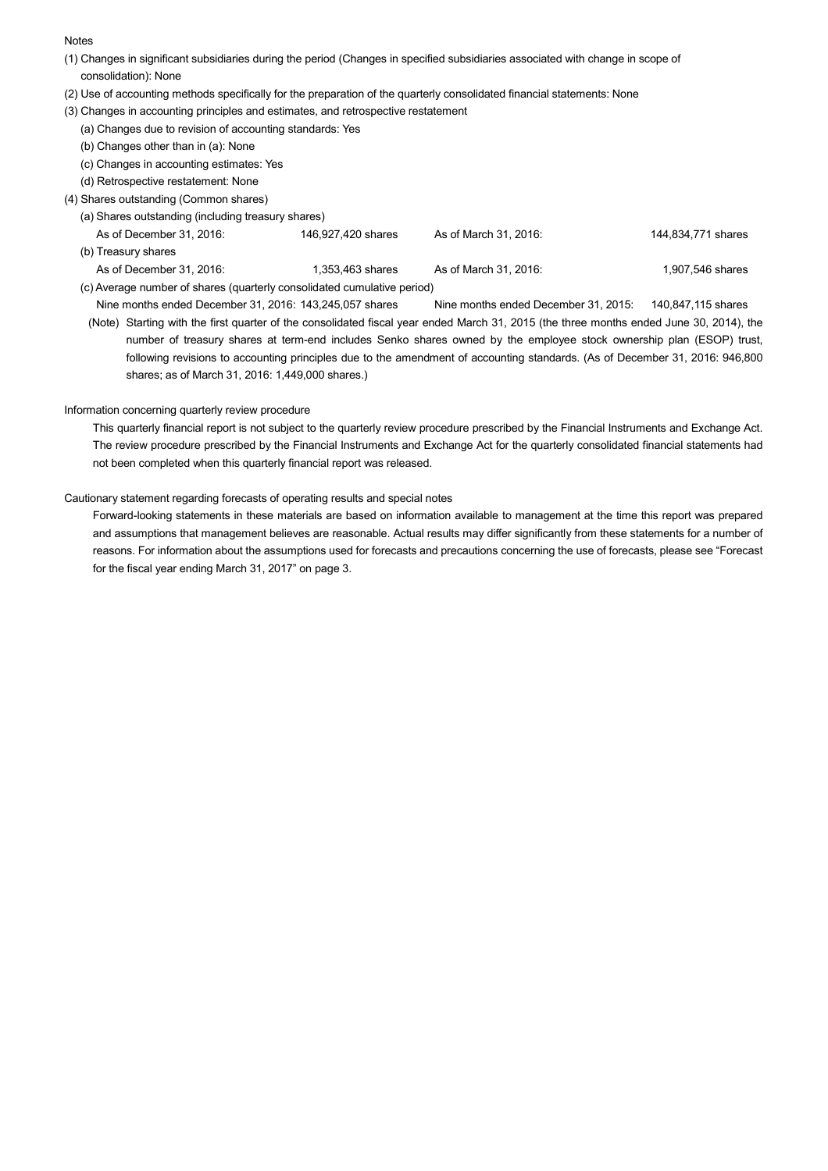### **Notes**

- (1) Changes in significant subsidiaries during the period (Changes in specified subsidiaries associated with change in scope of consolidation): None
- (2) Use of accounting methods specifically for the preparation of the quarterly consolidated financial statements: None
- (3) Changes in accounting principles and estimates, and retrospective restatement
	- (a) Changes due to revision of accounting standards: Yes
	- (b) Changes other than in (a): None
	- (c) Changes in accounting estimates: Yes
	- (d) Retrospective restatement: None
- (4) Shares outstanding (Common shares)
	- (a) Shares outstanding (including treasury shares)
	- As of December 31, 2016: 146,927,420 shares As of March 31, 2016: 144,834,771 shares (b) Treasury shares As of December 31, 2016: 1,353,463 shares As of March 31, 2016: 1,907,546 shares As of March 31, 2016: (c) Average number of shares (quarterly consolidated cumulative period)
	- Nine months ended December 31, 2016: 143,245,057 shares Nine months ended December 31, 2015: 140,847,115 shares
	- (Note) Starting with the first quarter of the consolidated fiscal year ended March 31, 2015 (the three months ended June 30, 2014), the number of treasury shares at term-end includes Senko shares owned by the employee stock ownership plan (ESOP) trust, following revisions to accounting principles due to the amendment of accounting standards. (As of December 31, 2016: 946,800 shares; as of March 31, 2016: 1,449,000 shares.)

## Information concerning quarterly review procedure

This quarterly financial report is not subject to the quarterly review procedure prescribed by the Financial Instruments and Exchange Act. The review procedure prescribed by the Financial Instruments and Exchange Act for the quarterly consolidated financial statements had not been completed when this quarterly financial report was released.

## Cautionary statement regarding forecasts of operating results and special notes

Forward-looking statements in these materials are based on information available to management at the time this report was prepared and assumptions that management believes are reasonable. Actual results may differ significantly from these statements for a number of reasons. For information about the assumptions used for forecasts and precautions concerning the use of forecasts, please see "Forecast for the fiscal year ending March 31, 2017" on page 3.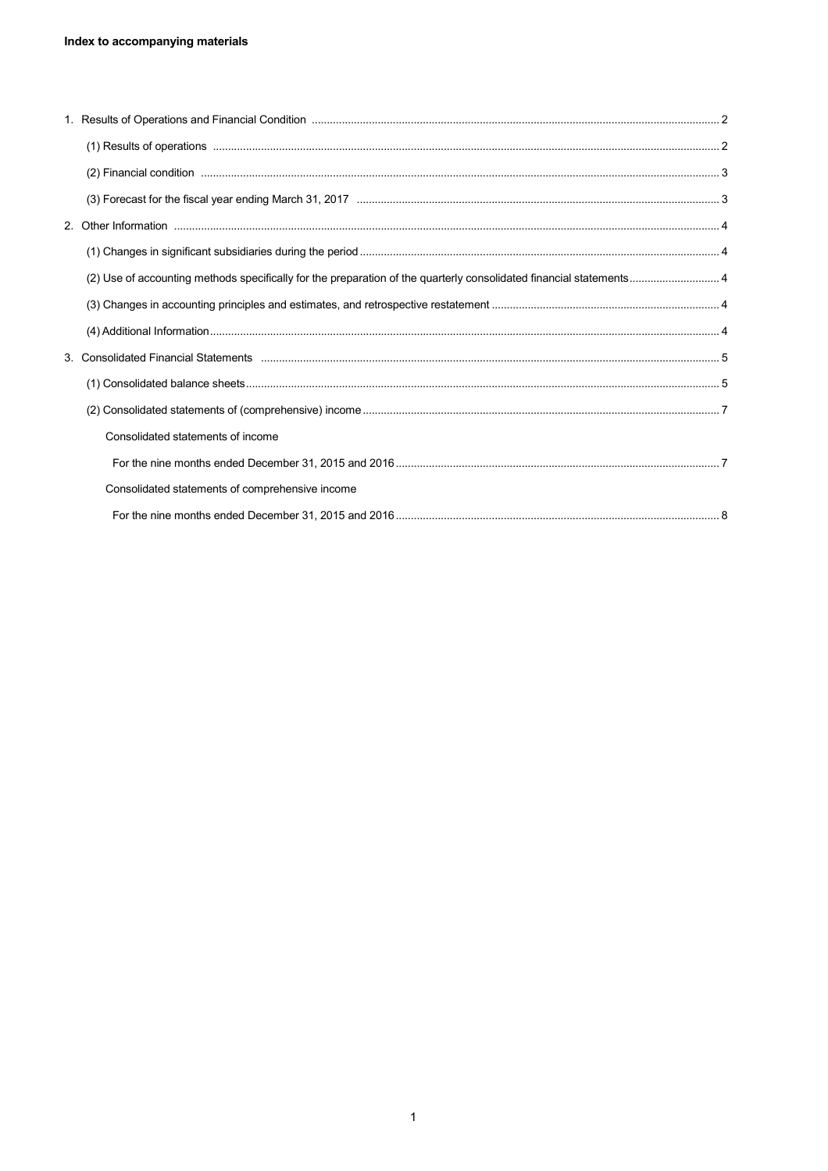| Consolidated statements of income               |  |
|-------------------------------------------------|--|
|                                                 |  |
| Consolidated statements of comprehensive income |  |
|                                                 |  |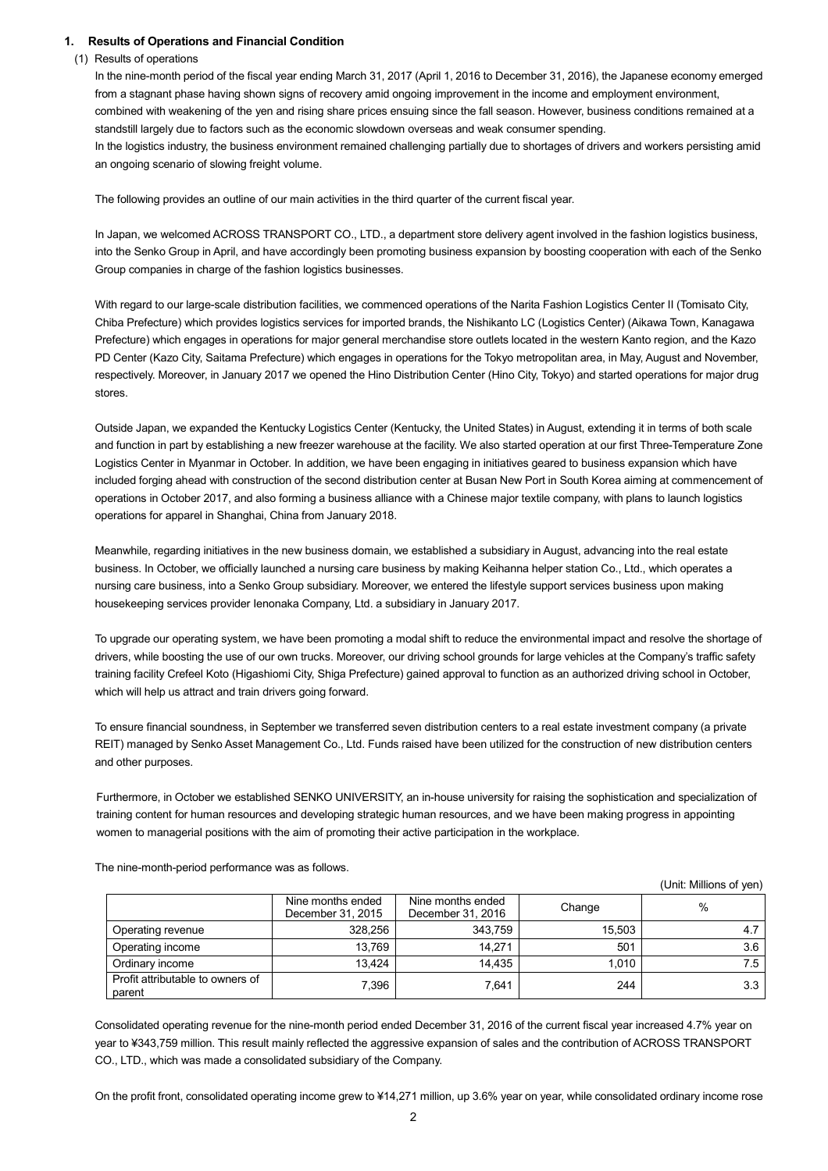## **1. Results of Operations and Financial Condition**

### (1) Results of operations

In the nine-month period of the fiscal year ending March 31, 2017 (April 1, 2016 to December 31, 2016), the Japanese economy emerged from a stagnant phase having shown signs of recovery amid ongoing improvement in the income and employment environment, combined with weakening of the yen and rising share prices ensuing since the fall season. However, business conditions remained at a standstill largely due to factors such as the economic slowdown overseas and weak consumer spending. In the logistics industry, the business environment remained challenging partially due to shortages of drivers and workers persisting amid an ongoing scenario of slowing freight volume.

The following provides an outline of our main activities in the third quarter of the current fiscal year.

In Japan, we welcomed ACROSS TRANSPORT CO., LTD., a department store delivery agent involved in the fashion logistics business, into the Senko Group in April, and have accordingly been promoting business expansion by boosting cooperation with each of the Senko Group companies in charge of the fashion logistics businesses.

With regard to our large-scale distribution facilities, we commenced operations of the Narita Fashion Logistics Center II (Tomisato City, Chiba Prefecture) which provides logistics services for imported brands, the Nishikanto LC (Logistics Center) (Aikawa Town, Kanagawa Prefecture) which engages in operations for major general merchandise store outlets located in the western Kanto region, and the Kazo PD Center (Kazo City, Saitama Prefecture) which engages in operations for the Tokyo metropolitan area, in May, August and November, respectively. Moreover, in January 2017 we opened the Hino Distribution Center (Hino City, Tokyo) and started operations for major drug stores.

Outside Japan, we expanded the Kentucky Logistics Center (Kentucky, the United States) in August, extending it in terms of both scale and function in part by establishing a new freezer warehouse at the facility. We also started operation at our first Three-Temperature Zone Logistics Center in Myanmar in October. In addition, we have been engaging in initiatives geared to business expansion which have included forging ahead with construction of the second distribution center at Busan New Port in South Korea aiming at commencement of operations in October 2017, and also forming a business alliance with a Chinese major textile company, with plans to launch logistics operations for apparel in Shanghai, China from January 2018.

Meanwhile, regarding initiatives in the new business domain, we established a subsidiary in August, advancing into the real estate business. In October, we officially launched a nursing care business by making Keihanna helper station Co., Ltd., which operates a nursing care business, into a Senko Group subsidiary. Moreover, we entered the lifestyle support services business upon making housekeeping services provider Ienonaka Company, Ltd. a subsidiary in January 2017.

To upgrade our operating system, we have been promoting a modal shift to reduce the environmental impact and resolve the shortage of drivers, while boosting the use of our own trucks. Moreover, our driving school grounds for large vehicles at the Company's traffic safety training facility Crefeel Koto (Higashiomi City, Shiga Prefecture) gained approval to function as an authorized driving school in October, which will help us attract and train drivers going forward.

To ensure financial soundness, in September we transferred seven distribution centers to a real estate investment company (a private REIT) managed by Senko Asset Management Co., Ltd. Funds raised have been utilized for the construction of new distribution centers and other purposes.

Furthermore, in October we established SENKO UNIVERSITY, an in-house university for raising the sophistication and specialization of training content for human resources and developing strategic human resources, and we have been making progress in appointing women to managerial positions with the aim of promoting their active participation in the workplace.

|                                            |                                        |                                        |        | (Unit: Millions of yen) |
|--------------------------------------------|----------------------------------------|----------------------------------------|--------|-------------------------|
|                                            | Nine months ended<br>December 31, 2015 | Nine months ended<br>December 31, 2016 | Change | $\%$                    |
| Operating revenue                          | 328,256                                | 343,759                                | 15,503 | 4.7                     |
| Operating income                           | 13,769                                 | 14,271                                 | 501    | 3.6                     |
| Ordinary income                            | 13,424                                 | 14,435                                 | 1,010  | 7.5                     |
| Profit attributable to owners of<br>parent | 7,396                                  | 7,641                                  | 244    | 3.3                     |

The nine-month-period performance was as follows.

Consolidated operating revenue for the nine-month period ended December 31, 2016 of the current fiscal year increased 4.7% year on year to ¥343,759 million. This result mainly reflected the aggressive expansion of sales and the contribution of ACROSS TRANSPORT CO., LTD., which was made a consolidated subsidiary of the Company.

On the profit front, consolidated operating income grew to ¥14,271 million, up 3.6% year on year, while consolidated ordinary income rose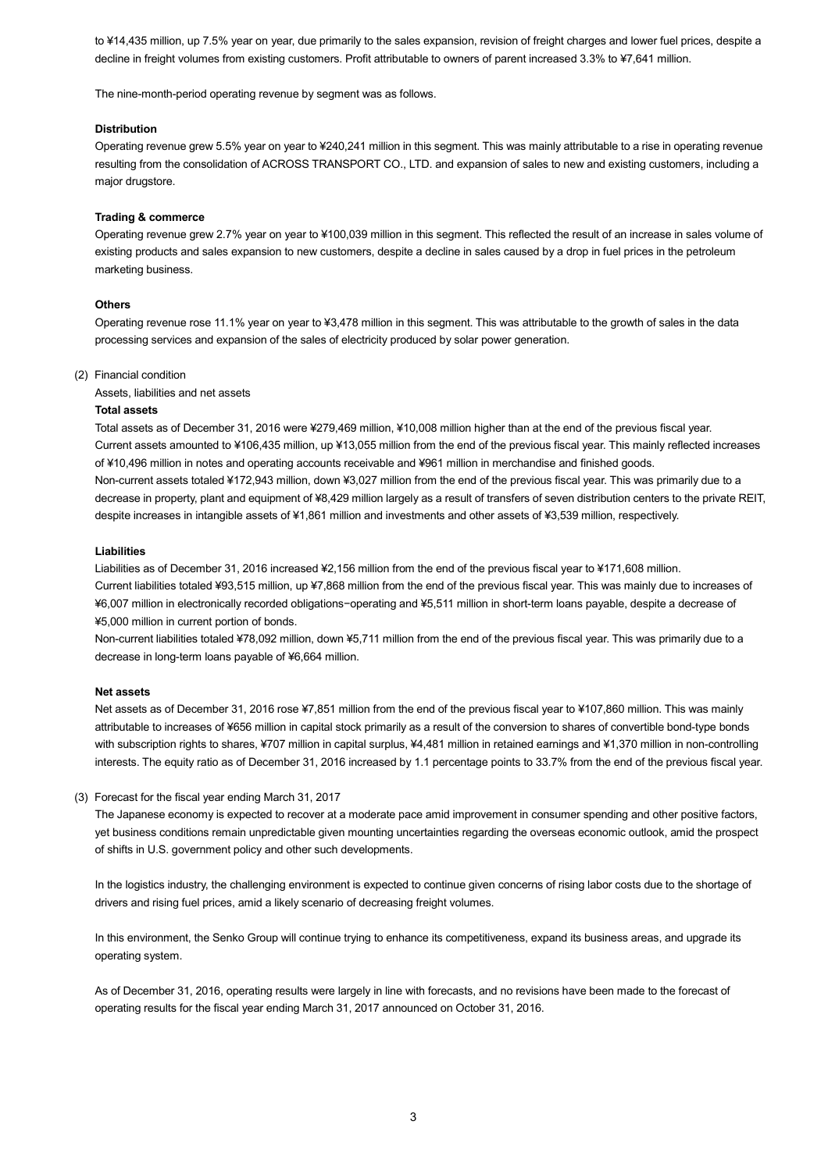to ¥14,435 million, up 7.5% year on year, due primarily to the sales expansion, revision of freight charges and lower fuel prices, despite a decline in freight volumes from existing customers. Profit attributable to owners of parent increased 3.3% to ¥7,641 million.

The nine-month-period operating revenue by segment was as follows.

#### **Distribution**

Operating revenue grew 5.5% year on year to ¥240,241 million in this segment. This was mainly attributable to a rise in operating revenue resulting from the consolidation of ACROSS TRANSPORT CO., LTD. and expansion of sales to new and existing customers, including a major drugstore.

#### **Trading & commerce**

Operating revenue grew 2.7% year on year to ¥100,039 million in this segment. This reflected the result of an increase in sales volume of existing products and sales expansion to new customers, despite a decline in sales caused by a drop in fuel prices in the petroleum marketing business.

#### **Others**

Operating revenue rose 11.1% year on year to ¥3,478 million in this segment. This was attributable to the growth of sales in the data processing services and expansion of the sales of electricity produced by solar power generation.

#### (2) Financial condition

Assets, liabilities and net assets

#### **Total assets**

Total assets as of December 31, 2016 were ¥279,469 million, ¥10,008 million higher than at the end of the previous fiscal year. Current assets amounted to ¥106,435 million, up ¥13,055 million from the end of the previous fiscal year. This mainly reflected increases of ¥10,496 million in notes and operating accounts receivable and ¥961 million in merchandise and finished goods. Non-current assets totaled ¥172,943 million, down ¥3,027 million from the end of the previous fiscal year. This was primarily due to a decrease in property, plant and equipment of ¥8,429 million largely as a result of transfers of seven distribution centers to the private REIT, despite increases in intangible assets of ¥1,861 million and investments and other assets of ¥3,539 million, respectively.

#### **Liabilities**

Liabilities as of December 31, 2016 increased ¥2,156 million from the end of the previous fiscal year to ¥171,608 million. Current liabilities totaled ¥93,515 million, up ¥7,868 million from the end of the previous fiscal year. This was mainly due to increases of ¥6,007 million in electronically recorded obligations−operating and ¥5,511 million in short-term loans payable, despite a decrease of ¥5,000 million in current portion of bonds.

Non-current liabilities totaled ¥78,092 million, down ¥5,711 million from the end of the previous fiscal year. This was primarily due to a decrease in long-term loans payable of ¥6,664 million.

#### **Net assets**

Net assets as of December 31, 2016 rose ¥7,851 million from the end of the previous fiscal year to ¥107,860 million. This was mainly attributable to increases of ¥656 million in capital stock primarily as a result of the conversion to shares of convertible bond-type bonds with subscription rights to shares, ¥707 million in capital surplus, ¥4,481 million in retained earnings and ¥1,370 million in non-controlling interests. The equity ratio as of December 31, 2016 increased by 1.1 percentage points to 33.7% from the end of the previous fiscal year.

#### (3) Forecast for the fiscal year ending March 31, 2017

The Japanese economy is expected to recover at a moderate pace amid improvement in consumer spending and other positive factors, yet business conditions remain unpredictable given mounting uncertainties regarding the overseas economic outlook, amid the prospect of shifts in U.S. government policy and other such developments.

In the logistics industry, the challenging environment is expected to continue given concerns of rising labor costs due to the shortage of drivers and rising fuel prices, amid a likely scenario of decreasing freight volumes.

In this environment, the Senko Group will continue trying to enhance its competitiveness, expand its business areas, and upgrade its operating system.

As of December 31, 2016, operating results were largely in line with forecasts, and no revisions have been made to the forecast of operating results for the fiscal year ending March 31, 2017 announced on October 31, 2016.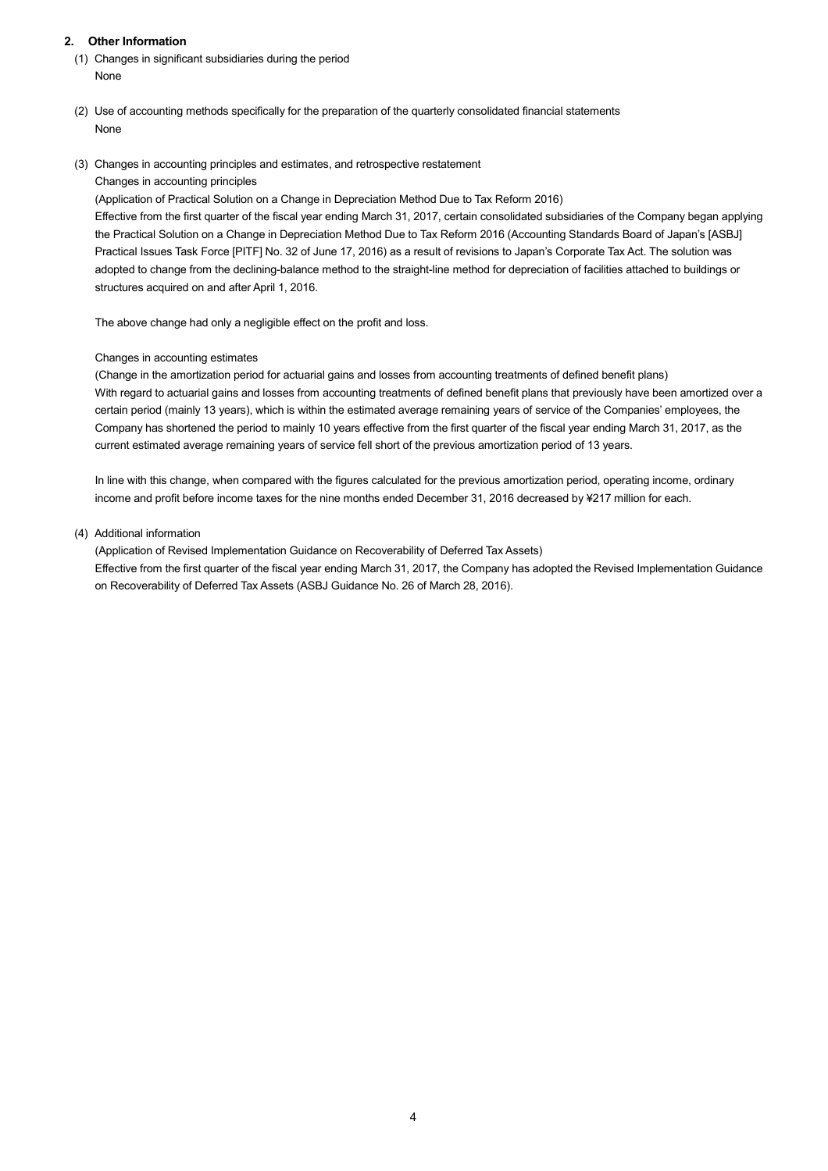## **2. Other Information**

- (1) Changes in significant subsidiaries during the period None
- (2) Use of accounting methods specifically for the preparation of the quarterly consolidated financial statements None
- (3) Changes in accounting principles and estimates, and retrospective restatement

Changes in accounting principles

(Application of Practical Solution on a Change in Depreciation Method Due to Tax Reform 2016)

Effective from the first quarter of the fiscal year ending March 31, 2017, certain consolidated subsidiaries of the Company began applying the Practical Solution on a Change in Depreciation Method Due to Tax Reform 2016 (Accounting Standards Board of Japan's [ASBJ] Practical Issues Task Force [PITF] No. 32 of June 17, 2016) as a result of revisions to Japan's Corporate Tax Act. The solution was adopted to change from the declining-balance method to the straight-line method for depreciation of facilities attached to buildings or structures acquired on and after April 1, 2016.

The above change had only a negligible effect on the profit and loss.

## Changes in accounting estimates

(Change in the amortization period for actuarial gains and losses from accounting treatments of defined benefit plans) With regard to actuarial gains and losses from accounting treatments of defined benefit plans that previously have been amortized over a certain period (mainly 13 years), which is within the estimated average remaining years of service of the Companies' employees, the Company has shortened the period to mainly 10 years effective from the first quarter of the fiscal year ending March 31, 2017, as the current estimated average remaining years of service fell short of the previous amortization period of 13 years.

In line with this change, when compared with the figures calculated for the previous amortization period, operating income, ordinary income and profit before income taxes for the nine months ended December 31, 2016 decreased by ¥217 million for each.

(4) Additional information

(Application of Revised Implementation Guidance on Recoverability of Deferred Tax Assets) Effective from the first quarter of the fiscal year ending March 31, 2017, the Company has adopted the Revised Implementation Guidance on Recoverability of Deferred Tax Assets (ASBJ Guidance No. 26 of March 28, 2016).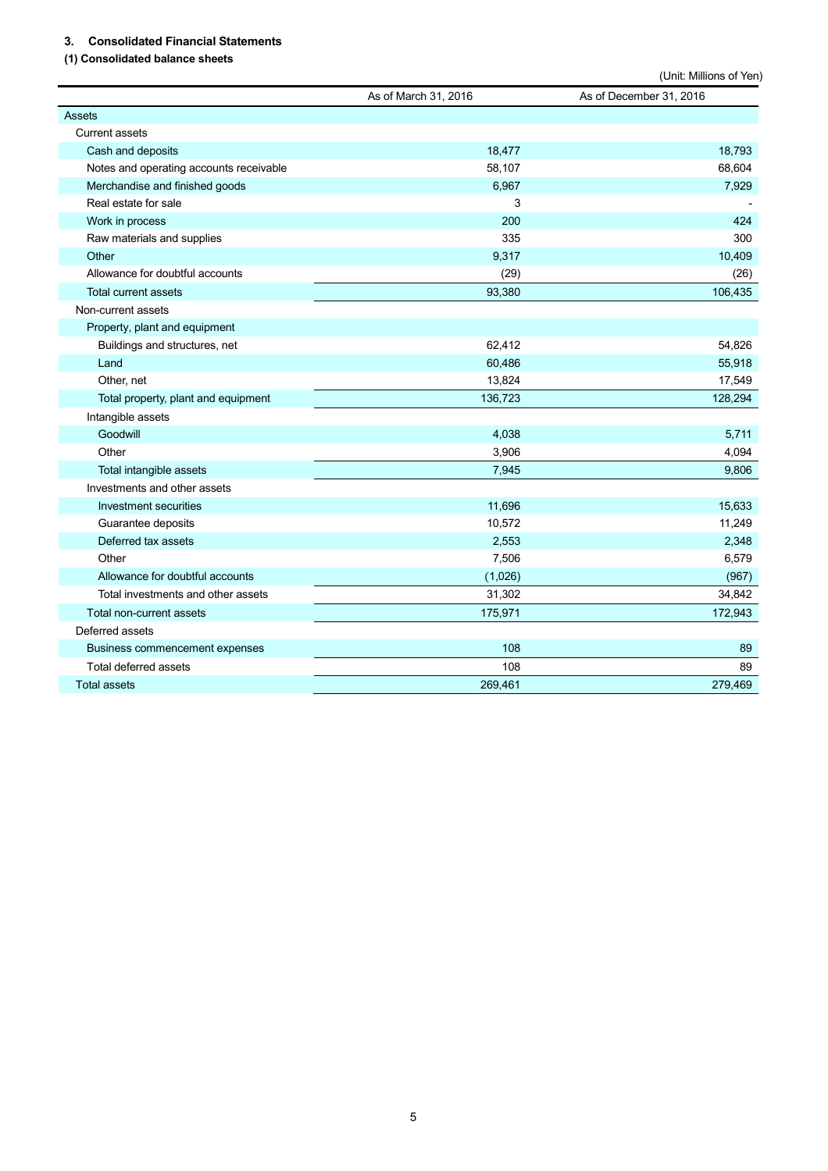# **3. Consolidated Financial Statements**

# **(1) Consolidated balance sheets**

|                                         |                      | (Unit: Millions of Yen) |
|-----------------------------------------|----------------------|-------------------------|
|                                         | As of March 31, 2016 | As of December 31, 2016 |
| <b>Assets</b>                           |                      |                         |
| <b>Current assets</b>                   |                      |                         |
| Cash and deposits                       | 18,477               | 18,793                  |
| Notes and operating accounts receivable | 58,107               | 68,604                  |
| Merchandise and finished goods          | 6,967                | 7,929                   |
| Real estate for sale                    | 3                    |                         |
| Work in process                         | 200                  | 424                     |
| Raw materials and supplies              | 335                  | 300                     |
| Other                                   | 9,317                | 10,409                  |
| Allowance for doubtful accounts         | (29)                 | (26)                    |
| <b>Total current assets</b>             | 93,380               | 106,435                 |
| Non-current assets                      |                      |                         |
| Property, plant and equipment           |                      |                         |
| Buildings and structures, net           | 62,412               | 54,826                  |
| Land                                    | 60,486               | 55,918                  |
| Other, net                              | 13,824               | 17,549                  |
| Total property, plant and equipment     | 136,723              | 128,294                 |
| Intangible assets                       |                      |                         |
| Goodwill                                | 4,038                | 5,711                   |
| Other                                   | 3,906                | 4,094                   |
| Total intangible assets                 | 7,945                | 9,806                   |
| Investments and other assets            |                      |                         |
| Investment securities                   | 11,696               | 15,633                  |
| Guarantee deposits                      | 10,572               | 11,249                  |
| Deferred tax assets                     | 2,553                | 2,348                   |
| Other                                   | 7,506                | 6,579                   |
| Allowance for doubtful accounts         | (1,026)              | (967)                   |
| Total investments and other assets      | 31,302               | 34,842                  |
| Total non-current assets                | 175,971              | 172,943                 |
| Deferred assets                         |                      |                         |
| Business commencement expenses          | 108                  | 89                      |
| Total deferred assets                   | 108                  | 89                      |
| <b>Total assets</b>                     | 269,461              | 279,469                 |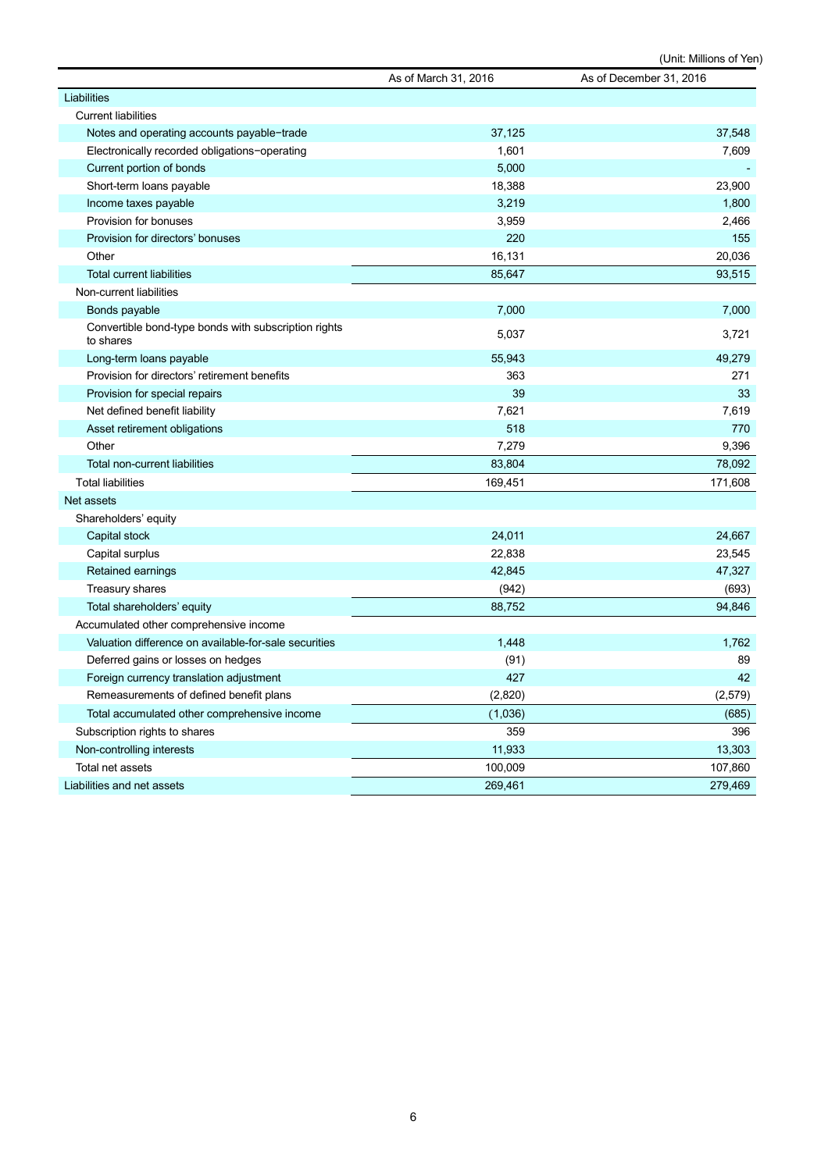|                                                                   | As of March 31, 2016 | As of December 31, 2016 |
|-------------------------------------------------------------------|----------------------|-------------------------|
| Liabilities                                                       |                      |                         |
| <b>Current liabilities</b>                                        |                      |                         |
| Notes and operating accounts payable-trade                        | 37,125               | 37,548                  |
| Electronically recorded obligations-operating                     | 1,601                | 7,609                   |
| Current portion of bonds                                          | 5,000                |                         |
| Short-term loans payable                                          | 18,388               | 23,900                  |
| Income taxes payable                                              | 3,219                | 1,800                   |
| Provision for bonuses                                             | 3,959                | 2,466                   |
| Provision for directors' bonuses                                  | 220                  | 155                     |
| Other                                                             | 16,131               | 20,036                  |
| <b>Total current liabilities</b>                                  | 85,647               | 93,515                  |
| Non-current liabilities                                           |                      |                         |
| Bonds payable                                                     | 7,000                | 7,000                   |
| Convertible bond-type bonds with subscription rights<br>to shares | 5,037                | 3,721                   |
| Long-term loans payable                                           | 55,943               | 49,279                  |
| Provision for directors' retirement benefits                      | 363                  | 271                     |
| Provision for special repairs                                     | 39                   | 33                      |
| Net defined benefit liability                                     | 7,621                | 7,619                   |
| Asset retirement obligations                                      | 518                  | 770                     |
| Other                                                             | 7,279                | 9,396                   |
| <b>Total non-current liabilities</b>                              | 83,804               | 78,092                  |
| <b>Total liabilities</b>                                          | 169,451              | 171,608                 |
| Net assets                                                        |                      |                         |
| Shareholders' equity                                              |                      |                         |
| Capital stock                                                     | 24,011               | 24,667                  |
| Capital surplus                                                   | 22,838               | 23,545                  |
| Retained earnings                                                 | 42,845               | 47,327                  |
| <b>Treasury shares</b>                                            | (942)                | (693)                   |
| Total shareholders' equity                                        | 88,752               | 94,846                  |
| Accumulated other comprehensive income                            |                      |                         |
| Valuation difference on available-for-sale securities             | 1,448                | 1,762                   |
| Deferred gains or losses on hedges                                | (91)                 | 89                      |
| Foreign currency translation adjustment                           | 427                  | 42                      |
| Remeasurements of defined benefit plans                           | (2,820)              | (2, 579)                |
| Total accumulated other comprehensive income                      | (1,036)              | (685)                   |
| Subscription rights to shares                                     | 359                  | 396                     |
| Non-controlling interests                                         | 11,933               | 13,303                  |
| Total net assets                                                  | 100,009              | 107,860                 |
| Liabilities and net assets                                        | 269,461              | 279,469                 |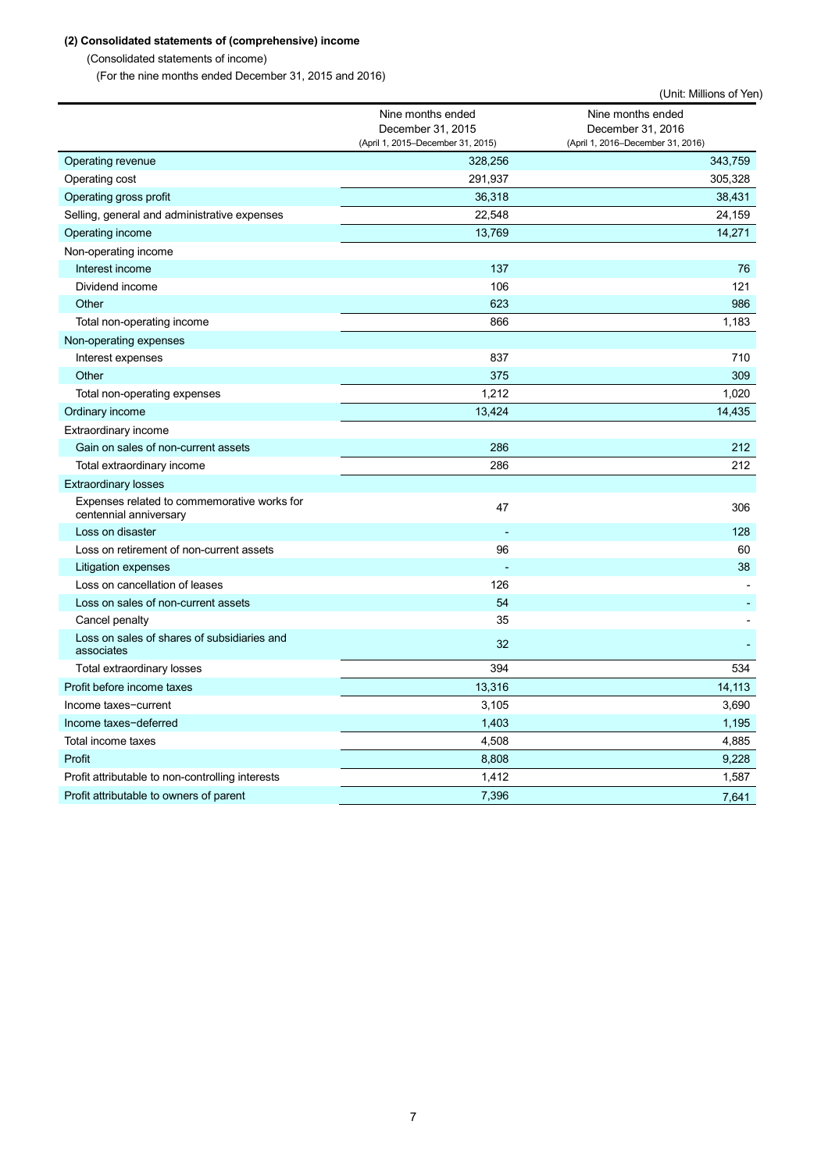# **(2) Consolidated statements of (comprehensive) income**

(Consolidated statements of income)

(For the nine months ended December 31, 2015 and 2016)

|                                                                       |                                                                             | (Unit: Millions of Yen)                                                     |
|-----------------------------------------------------------------------|-----------------------------------------------------------------------------|-----------------------------------------------------------------------------|
|                                                                       | Nine months ended<br>December 31, 2015<br>(April 1, 2015-December 31, 2015) | Nine months ended<br>December 31, 2016<br>(April 1, 2016-December 31, 2016) |
| Operating revenue                                                     | 328,256                                                                     | 343,759                                                                     |
| Operating cost                                                        | 291,937                                                                     | 305,328                                                                     |
| Operating gross profit                                                | 36,318                                                                      | 38,431                                                                      |
| Selling, general and administrative expenses                          | 22,548                                                                      | 24,159                                                                      |
| Operating income                                                      | 13,769                                                                      | 14,271                                                                      |
| Non-operating income                                                  |                                                                             |                                                                             |
| Interest income                                                       | 137                                                                         | 76                                                                          |
| Dividend income                                                       | 106                                                                         | 121                                                                         |
| Other                                                                 | 623                                                                         | 986                                                                         |
| Total non-operating income                                            | 866                                                                         | 1,183                                                                       |
| Non-operating expenses                                                |                                                                             |                                                                             |
| Interest expenses                                                     | 837                                                                         | 710                                                                         |
| Other                                                                 | 375                                                                         | 309                                                                         |
| Total non-operating expenses                                          | 1,212                                                                       | 1,020                                                                       |
| Ordinary income                                                       | 13,424                                                                      | 14,435                                                                      |
| <b>Extraordinary income</b>                                           |                                                                             |                                                                             |
| Gain on sales of non-current assets                                   | 286                                                                         | 212                                                                         |
| Total extraordinary income                                            | 286                                                                         | 212                                                                         |
| <b>Extraordinary losses</b>                                           |                                                                             |                                                                             |
| Expenses related to commemorative works for<br>centennial anniversary | 47                                                                          | 306                                                                         |
| Loss on disaster                                                      |                                                                             | 128                                                                         |
| Loss on retirement of non-current assets                              | 96                                                                          | 60                                                                          |
| Litigation expenses                                                   |                                                                             | 38                                                                          |
| Loss on cancellation of leases                                        | 126                                                                         |                                                                             |
| Loss on sales of non-current assets                                   | 54                                                                          |                                                                             |
| Cancel penalty                                                        | 35                                                                          |                                                                             |
| Loss on sales of shares of subsidiaries and<br>associates             | 32                                                                          |                                                                             |
| Total extraordinary losses                                            | 394                                                                         | 534                                                                         |
| Profit before income taxes                                            | 13,316                                                                      | 14,113                                                                      |
| Income taxes-current                                                  | 3,105                                                                       | 3,690                                                                       |
| Income taxes-deferred                                                 | 1,403                                                                       | 1,195                                                                       |
| Total income taxes                                                    | 4,508                                                                       | 4,885                                                                       |
| Profit                                                                | 8,808                                                                       | 9,228                                                                       |
| Profit attributable to non-controlling interests                      | 1,412                                                                       | 1,587                                                                       |
| Profit attributable to owners of parent                               | 7,396                                                                       | 7,641                                                                       |